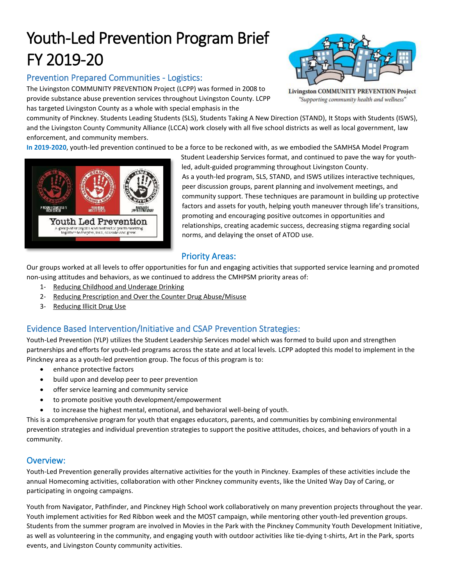# Youth-Led Prevention Program Brief FY 2019-20

# Prevention Prepared Communities - Logistics:

The Livingston COMMUNITY PREVENTION Project (LCPP) was formed in 2008 to provide substance abuse prevention services throughout Livingston County. LCPP has targeted Livingston County as a whole with special emphasis in the



**Livingston COMMUNITY PREVENTION Project** "Supporting community health and wellness"

community of Pinckney. Students Leading Students (SLS), Students Taking A New Direction (STAND), It Stops with Students (ISWS), and the Livingston County Community Alliance (LCCA) work closely with all five school districts as well as local government, law enforcement, and community members.

**In 2019-2020**, youth-led prevention continued to be a force to be reckoned with, as we embodied the SAMHSA Model Program



Student Leadership Services format, and continued to pave the way for youthled, adult-guided programming throughout Livingston County. As a youth-led program, SLS, STAND, and ISWS utilizes interactive techniques, peer discussion groups, parent planning and involvement meetings, and community support. These techniques are paramount in building up protective factors and assets for youth, helping youth maneuver through life's transitions, promoting and encouraging positive outcomes in opportunities and relationships, creating academic success, decreasing stigma regarding social norms, and delaying the onset of ATOD use.

## Priority Areas:

Our groups worked at all levels to offer opportunities for fun and engaging activities that supported service learning and promoted non-using attitudes and behaviors, as we continued to address the CMHPSM priority areas of:

- 1- Reducing Childhood and Underage Drinking
- 2- Reducing Prescription and Over the Counter Drug Abuse/Misuse
- 3- Reducing Illicit Drug Use

### Evidence Based Intervention/Initiative and CSAP Prevention Strategies:

Youth-Led Prevention (YLP) utilizes the Student Leadership Services model which was formed to build upon and strengthen partnerships and efforts for youth-led programs across the state and at local levels. LCPP adopted this model to implement in the Pinckney area as a youth-led prevention group. The focus of this program is to:

- enhance protective factors
- build upon and develop peer to peer prevention
- offer service learning and community service
- to promote positive youth development/empowerment
- to increase the highest mental, emotional, and behavioral well-being of youth.

This is a comprehensive program for youth that engages educators, parents, and communities by combining environmental prevention strategies and individual prevention strategies to support the positive attitudes, choices, and behaviors of youth in a community.

#### Overview:

Youth-Led Prevention generally provides alternative activities for the youth in Pinckney. Examples of these activities include the annual Homecoming activities, collaboration with other Pinckney community events, like the United Way Day of Caring, or participating in ongoing campaigns.

Youth from Navigator, Pathfinder, and Pinckney High School work collaboratively on many prevention projects throughout the year. Youth implement activities for Red Ribbon week and the MOST campaign, while mentoring other youth-led prevention groups. Students from the summer program are involved in Movies in the Park with the Pinckney Community Youth Development Initiative, as well as volunteering in the community, and engaging youth with outdoor activities like tie-dying t-shirts, Art in the Park, sports events, and Livingston County community activities.